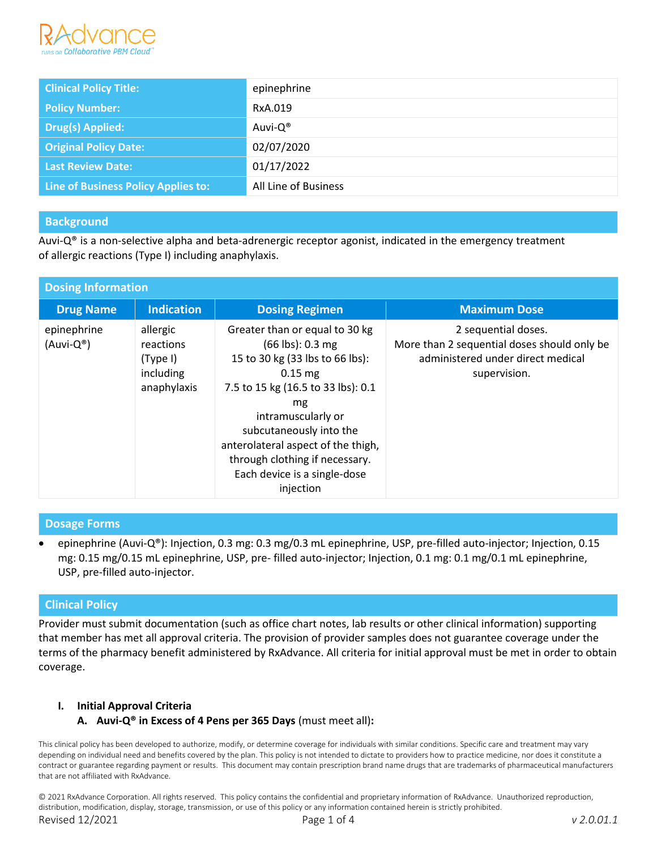

| <b>Clinical Policy Title:</b>       | epinephrine          |
|-------------------------------------|----------------------|
| <b>Policy Number:</b>               | RxA.019              |
| <b>Drug(s) Applied:</b>             | Auvi-Q®              |
| <b>Original Policy Date:</b>        | 02/07/2020           |
| <b>Last Review Date:</b>            | 01/17/2022           |
| Line of Business Policy Applies to: | All Line of Business |

# **Background**

Auvi-Q® is a non-selective alpha and beta-adrenergic receptor agonist, indicated in the emergency treatment of allergic reactions (Type I) including anaphylaxis.

| <b>Dosing Information</b>         |                                                               |                                                                                                                                                                                                                                                                                                                                        |                                                                                                                         |  |  |
|-----------------------------------|---------------------------------------------------------------|----------------------------------------------------------------------------------------------------------------------------------------------------------------------------------------------------------------------------------------------------------------------------------------------------------------------------------------|-------------------------------------------------------------------------------------------------------------------------|--|--|
| <b>Drug Name</b>                  | <b>Indication</b>                                             | <b>Dosing Regimen</b>                                                                                                                                                                                                                                                                                                                  | <b>Maximum Dose</b>                                                                                                     |  |  |
| epinephrine<br>$(Auvi-Q^{\circ})$ | allergic<br>reactions<br>(Type I)<br>including<br>anaphylaxis | Greater than or equal to 30 kg<br>$(66 \text{ lbs}): 0.3 \text{ mg}$<br>15 to 30 kg (33 lbs to 66 lbs):<br>$0.15$ mg<br>7.5 to 15 kg (16.5 to 33 lbs): 0.1<br>mg<br>intramuscularly or<br>subcutaneously into the<br>anterolateral aspect of the thigh,<br>through clothing if necessary.<br>Each device is a single-dose<br>injection | 2 sequential doses.<br>More than 2 sequential doses should only be<br>administered under direct medical<br>supervision. |  |  |

## **Dosage Forms**

• epinephrine (Auvi-Q®): Injection, 0.3 mg: 0.3 mg/0.3 mL epinephrine, USP, pre-filled auto-injector; Injection, 0.15 mg: 0.15 mg/0.15 mL epinephrine, USP, pre- filled auto-injector; Injection, 0.1 mg: 0.1 mg/0.1 mL epinephrine, USP, pre-filled auto-injector.

## **Clinical Policy**

Provider must submit documentation (such as office chart notes, lab results or other clinical information) supporting that member has met all approval criteria. The provision of provider samples does not guarantee coverage under the terms of the pharmacy benefit administered by RxAdvance. All criteria for initial approval must be met in order to obtain coverage.

### **I. Initial Approval Criteria**

**A. Auvi-Q® in Excess of 4 Pens per 365 Days** (must meet all)**:**

This clinical policy has been developed to authorize, modify, or determine coverage for individuals with similar conditions. Specific care and treatment may vary depending on individual need and benefits covered by the plan. This policy is not intended to dictate to providers how to practice medicine, nor does it constitute a contract or guarantee regarding payment or results. This document may contain prescription brand name drugs that are trademarks of pharmaceutical manufacturers that are not affiliated with RxAdvance.

© 2021 RxAdvance Corporation. All rights reserved. This policy contains the confidential and proprietary information of RxAdvance. Unauthorized reproduction, distribution, modification, display, storage, transmission, or use of this policy or any information contained herein is strictly prohibited. Revised 12/2021 Page 1 of 4 *v 2.0.01.1*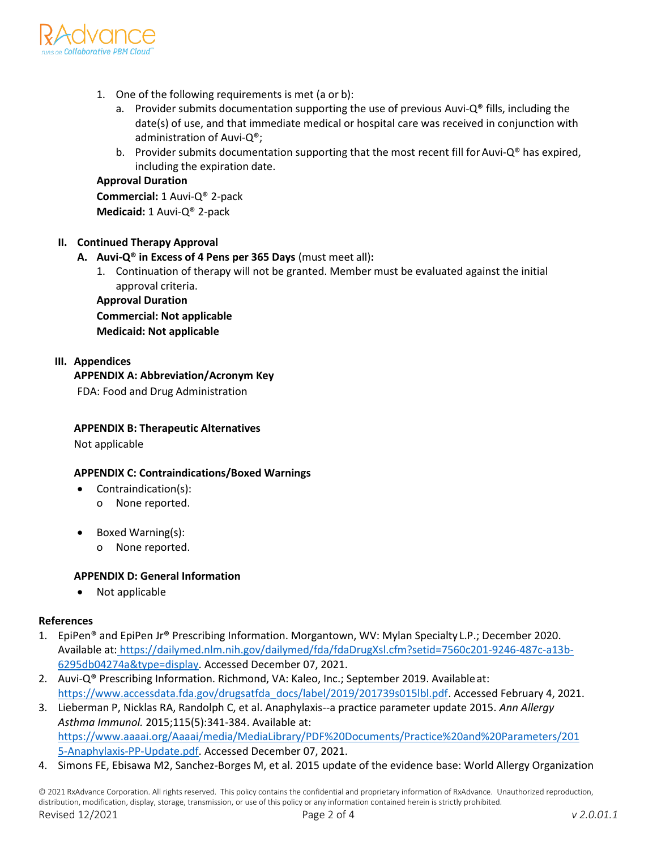

- 1. One of the following requirements is met (a or b):
	- a. Provider submits documentation supporting the use of previous Auvi- $Q^{\circ}$  fills, including the date(s) of use, and that immediate medical or hospital care was received in conjunction with administration of Auvi-Q®;
	- b. Provider submits documentation supporting that the most recent fill for Auvi- $Q^*$  has expired, including the expiration date.

## **Approval Duration**

**Commercial:** 1 Auvi-Q® 2-pack **Medicaid:** 1 Auvi-Q® 2-pack

## **II. Continued Therapy Approval**

- **A. Auvi-Q® in Excess of 4 Pens per 365 Days** (must meet all)**:**
	- 1. Continuation of therapy will not be granted. Member must be evaluated against the initial approval criteria.

**Approval Duration Commercial: Not applicable Medicaid: Not applicable**

### **III. Appendices**

**APPENDIX A: Abbreviation/Acronym Key** 

FDA: Food and Drug Administration

### **APPENDIX B: Therapeutic Alternatives**

Not applicable

## **APPENDIX C: Contraindications/Boxed Warnings**

- Contraindication(s):
	- o None reported.
- Boxed Warning(s):
	- o None reported.

### **APPENDIX D: General Information**

• Not applicable

### **References**

- 1. EpiPen<sup>®</sup> and EpiPen Jr® Prescribing Information. Morgantown, WV: Mylan Specialty L.P.; December 2020. Available at: https://dailymed.nlm.nih.gov/dailymed/fda/fdaDrugXsl.cfm?setid=7560c201-9246-487c-a13b-6295db04274a&type=display. Accessed December 07, 2021.
- 2. Auvi-Q® Prescribing Information. Richmond, VA: Kaleo, Inc.; September 2019. Availableat: [https://www.accessdata.fda.gov/drugsatfda\\_docs/label/2019/201739s015lbl.pdf.](https://www.accessdata.fda.gov/drugsatfda_docs/label/2019/201739s015lbl.pdf) Accessed February 4, 2021.
- 3. Lieberman P, Nicklas RA, Randolph C, et al. Anaphylaxis--a practice parameter update 2015. *Ann Allergy Asthma Immunol.* 2015;115(5):341-384. Available at: [https://www.aaaai.org/Aaaai/media/MediaLibrary/PDF%20Documents/Practice%20and%20Parameters/201](https://www.aaaai.org/Aaaai/media/MediaLibrary/PDF%20Documents/Practice%20and%20Parameters/2015-Anaphylaxis-PP-Update.pdf) [5-Anaphylaxis-PP-Update.pdf.](https://www.aaaai.org/Aaaai/media/MediaLibrary/PDF%20Documents/Practice%20and%20Parameters/2015-Anaphylaxis-PP-Update.pdf) Accessed December 07, 2021.
- 4. Simons FE, Ebisawa M2, Sanchez-Borges M, et al. 2015 update of the evidence base: World Allergy Organization

© 2021 RxAdvance Corporation. All rights reserved. This policy contains the confidential and proprietary information of RxAdvance. Unauthorized reproduction, distribution, modification, display, storage, transmission, or use of this policy or any information contained herein is strictly prohibited. Revised 12/2021 Page 2 of 4 *v 2.0.01.1*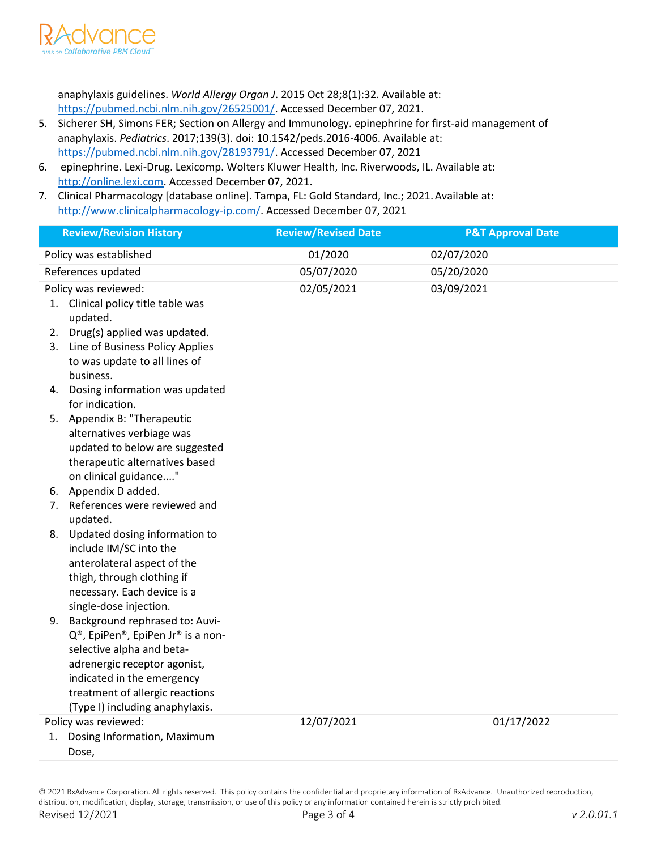

anaphylaxis guidelines. *World Allergy Organ J*. 2015 Oct 28;8(1):32. Available at: [https://pubmed.ncbi.nlm.nih.gov/26525001/.](https://pubmed.ncbi.nlm.nih.gov/26525001/) Accessed December 07, 2021.

- 5. Sicherer SH, Simons FER; Section on Allergy and Immunology. epinephrine for first-aid management of anaphylaxis. *Pediatrics*. 2017;139(3). doi: 10.1542/peds.2016-4006. Available at: [https://pubmed.ncbi.nlm.nih.gov/28193791/.](https://pubmed.ncbi.nlm.nih.gov/28193791/) Accessed December 07, 2021
- 6. epinephrine. Lexi-Drug. Lexicomp. Wolters Kluwer Health, Inc. Riverwoods, IL. Available at: http://online.lexi.com. Accessed December 07, 2021.
- 7. Clinical Pharmacology [database online]. Tampa, FL: Gold Standard, Inc.; 2021. Available at: [http://www.clinicalpharmacology-ip.com/.](http://www.clinicalpharmacology-ip.com/) Accessed December 07, 2021

| <b>Review/Revision History</b>                                                                                                                                                                                                          | <b>Review/Revised Date</b> | <b>P&amp;T Approval Date</b> |
|-----------------------------------------------------------------------------------------------------------------------------------------------------------------------------------------------------------------------------------------|----------------------------|------------------------------|
| Policy was established                                                                                                                                                                                                                  | 01/2020                    | 02/07/2020                   |
| References updated                                                                                                                                                                                                                      | 05/07/2020                 | 05/20/2020                   |
| Policy was reviewed:<br>1. Clinical policy title table was<br>updated.                                                                                                                                                                  | 02/05/2021                 | 03/09/2021                   |
| Drug(s) applied was updated.<br>2.<br>Line of Business Policy Applies<br>3.<br>to was update to all lines of<br>business.                                                                                                               |                            |                              |
| 4. Dosing information was updated<br>for indication.                                                                                                                                                                                    |                            |                              |
| 5. Appendix B: "Therapeutic<br>alternatives verbiage was<br>updated to below are suggested<br>therapeutic alternatives based<br>on clinical guidance"                                                                                   |                            |                              |
| 6. Appendix D added.                                                                                                                                                                                                                    |                            |                              |
| References were reviewed and<br>7.<br>updated.                                                                                                                                                                                          |                            |                              |
| Updated dosing information to<br>8.<br>include IM/SC into the<br>anterolateral aspect of the<br>thigh, through clothing if<br>necessary. Each device is a<br>single-dose injection.                                                     |                            |                              |
| 9. Background rephrased to: Auvi-<br>Q®, EpiPen®, EpiPen Jr® is a non-<br>selective alpha and beta-<br>adrenergic receptor agonist,<br>indicated in the emergency<br>treatment of allergic reactions<br>(Type I) including anaphylaxis. |                            |                              |
| Policy was reviewed:                                                                                                                                                                                                                    | 12/07/2021                 | 01/17/2022                   |
| Dosing Information, Maximum<br>1.<br>Dose,                                                                                                                                                                                              |                            |                              |

© 2021 RxAdvance Corporation. All rights reserved. This policy contains the confidential and proprietary information of RxAdvance. Unauthorized reproduction, distribution, modification, display, storage, transmission, or use of this policy or any information contained herein is strictly prohibited. Revised 12/2021 Page 3 of 4 *v 2.0.01.1*